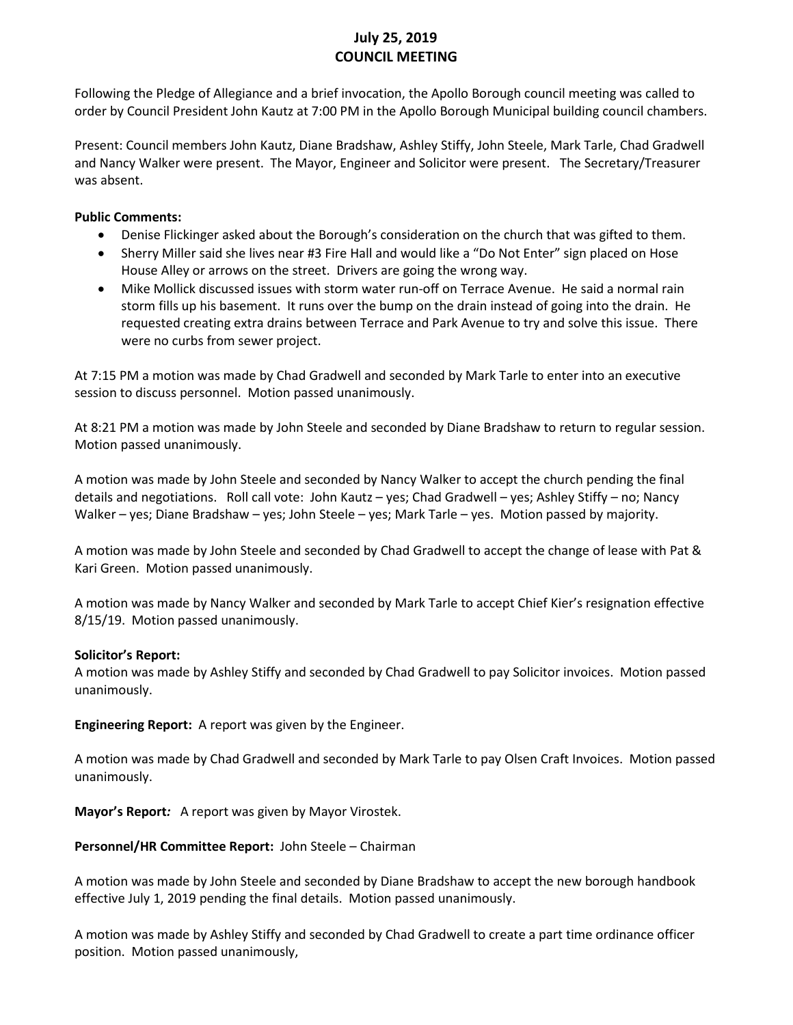# **July 25, 2019 COUNCIL MEETING**

Following the Pledge of Allegiance and a brief invocation, the Apollo Borough council meeting was called to order by Council President John Kautz at 7:00 PM in the Apollo Borough Municipal building council chambers.

Present: Council members John Kautz, Diane Bradshaw, Ashley Stiffy, John Steele, Mark Tarle, Chad Gradwell and Nancy Walker were present. The Mayor, Engineer and Solicitor were present. The Secretary/Treasurer was absent.

### **Public Comments:**

- Denise Flickinger asked about the Borough's consideration on the church that was gifted to them.
- Sherry Miller said she lives near #3 Fire Hall and would like a "Do Not Enter" sign placed on Hose House Alley or arrows on the street. Drivers are going the wrong way.
- Mike Mollick discussed issues with storm water run-off on Terrace Avenue. He said a normal rain storm fills up his basement. It runs over the bump on the drain instead of going into the drain. He requested creating extra drains between Terrace and Park Avenue to try and solve this issue. There were no curbs from sewer project.

At 7:15 PM a motion was made by Chad Gradwell and seconded by Mark Tarle to enter into an executive session to discuss personnel. Motion passed unanimously.

At 8:21 PM a motion was made by John Steele and seconded by Diane Bradshaw to return to regular session. Motion passed unanimously.

A motion was made by John Steele and seconded by Nancy Walker to accept the church pending the final details and negotiations. Roll call vote: John Kautz – yes; Chad Gradwell – yes; Ashley Stiffy – no; Nancy Walker – yes; Diane Bradshaw – yes; John Steele – yes; Mark Tarle – yes. Motion passed by majority.

A motion was made by John Steele and seconded by Chad Gradwell to accept the change of lease with Pat & Kari Green. Motion passed unanimously.

A motion was made by Nancy Walker and seconded by Mark Tarle to accept Chief Kier's resignation effective 8/15/19. Motion passed unanimously.

## **Solicitor's Report:**

A motion was made by Ashley Stiffy and seconded by Chad Gradwell to pay Solicitor invoices. Motion passed unanimously.

**Engineering Report:** A report was given by the Engineer.

A motion was made by Chad Gradwell and seconded by Mark Tarle to pay Olsen Craft Invoices. Motion passed unanimously.

**Mayor's Report***:* A report was given by Mayor Virostek.

#### **Personnel/HR Committee Report:** John Steele – Chairman

A motion was made by John Steele and seconded by Diane Bradshaw to accept the new borough handbook effective July 1, 2019 pending the final details. Motion passed unanimously.

A motion was made by Ashley Stiffy and seconded by Chad Gradwell to create a part time ordinance officer position. Motion passed unanimously,